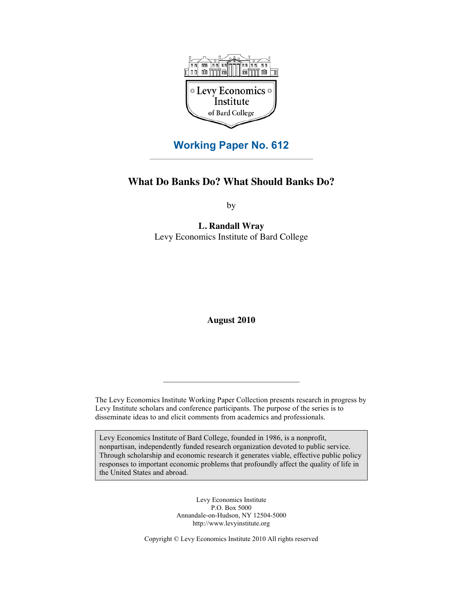

# **Working Paper No. 612**

# **What Do Banks Do? What Should Banks Do?**

by

**L. Randall Wray** Levy Economics Institute of Bard College

**August 2010**

The Levy Economics Institute Working Paper Collection presents research in progress by Levy Institute scholars and conference participants. The purpose of the series is to disseminate ideas to and elicit comments from academics and professionals.

Levy Economics Institute of Bard College, founded in 1986, is a nonprofit, nonpartisan, independently funded research organization devoted to public service. Through scholarship and economic research it generates viable, effective public policy responses to important economic problems that profoundly affect the quality of life in the United States and abroad.

> Levy Economics Institute P.O. Box 5000 Annandale-on-Hudson, NY 12504-5000 http://www.levyinstitute.org

Copyright © Levy Economics Institute 2010 All rights reserved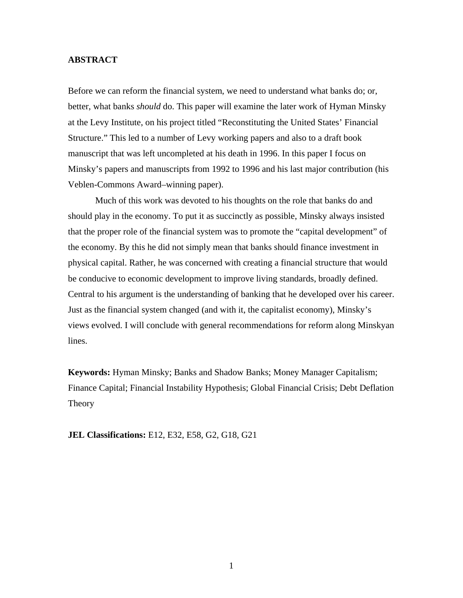# **ABSTRACT**

Before we can reform the financial system, we need to understand what banks do; or, better, what banks *should* do. This paper will examine the later work of Hyman Minsky at the Levy Institute, on his project titled "Reconstituting the United States' Financial Structure." This led to a number of Levy working papers and also to a draft book manuscript that was left uncompleted at his death in 1996. In this paper I focus on Minsky's papers and manuscripts from 1992 to 1996 and his last major contribution (his Veblen-Commons Award–winning paper).

Much of this work was devoted to his thoughts on the role that banks do and should play in the economy. To put it as succinctly as possible, Minsky always insisted that the proper role of the financial system was to promote the "capital development" of the economy. By this he did not simply mean that banks should finance investment in physical capital. Rather, he was concerned with creating a financial structure that would be conducive to economic development to improve living standards, broadly defined. Central to his argument is the understanding of banking that he developed over his career. Just as the financial system changed (and with it, the capitalist economy), Minsky's views evolved. I will conclude with general recommendations for reform along Minskyan lines.

**Keywords:** Hyman Minsky; Banks and Shadow Banks; Money Manager Capitalism; Finance Capital; Financial Instability Hypothesis; Global Financial Crisis; Debt Deflation **Theory** 

**JEL Classifications:** E12, E32, E58, G2, G18, G21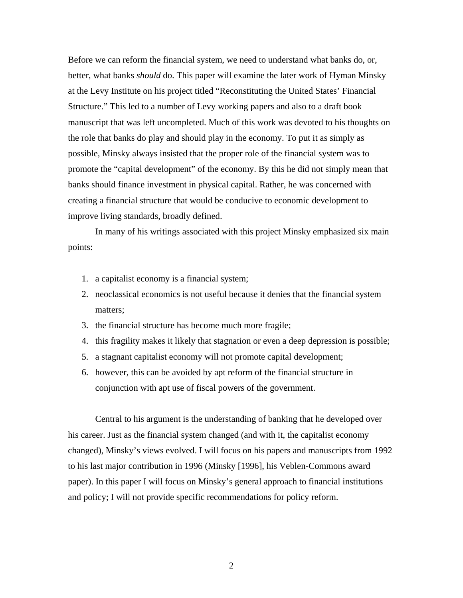Before we can reform the financial system, we need to understand what banks do, or, better, what banks *should* do. This paper will examine the later work of Hyman Minsky at the Levy Institute on his project titled "Reconstituting the United States' Financial Structure." This led to a number of Levy working papers and also to a draft book manuscript that was left uncompleted. Much of this work was devoted to his thoughts on the role that banks do play and should play in the economy. To put it as simply as possible, Minsky always insisted that the proper role of the financial system was to promote the "capital development" of the economy. By this he did not simply mean that banks should finance investment in physical capital. Rather, he was concerned with creating a financial structure that would be conducive to economic development to improve living standards, broadly defined.

In many of his writings associated with this project Minsky emphasized six main points:

- 1. a capitalist economy is a financial system;
- 2. neoclassical economics is not useful because it denies that the financial system matters;
- 3. the financial structure has become much more fragile;
- 4. this fragility makes it likely that stagnation or even a deep depression is possible;
- 5. a stagnant capitalist economy will not promote capital development;
- 6. however, this can be avoided by apt reform of the financial structure in conjunction with apt use of fiscal powers of the government.

Central to his argument is the understanding of banking that he developed over his career. Just as the financial system changed (and with it, the capitalist economy changed), Minsky's views evolved. I will focus on his papers and manuscripts from 1992 to his last major contribution in 1996 (Minsky [1996], his Veblen-Commons award paper). In this paper I will focus on Minsky's general approach to financial institutions and policy; I will not provide specific recommendations for policy reform.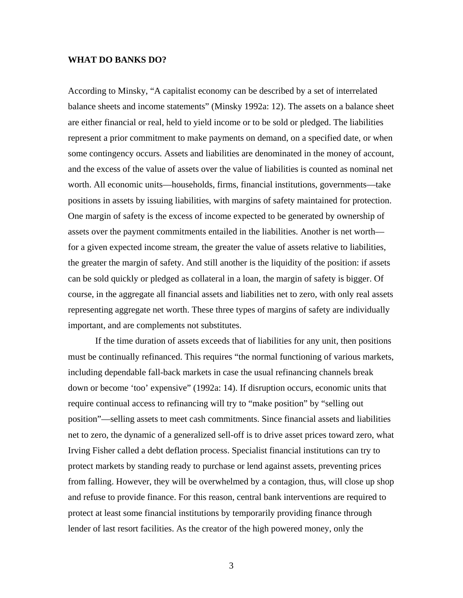# **WHAT DO BANKS DO?**

According to Minsky, "A capitalist economy can be described by a set of interrelated balance sheets and income statements" (Minsky 1992a: 12). The assets on a balance sheet are either financial or real, held to yield income or to be sold or pledged. The liabilities represent a prior commitment to make payments on demand, on a specified date, or when some contingency occurs. Assets and liabilities are denominated in the money of account, and the excess of the value of assets over the value of liabilities is counted as nominal net worth. All economic units—households, firms, financial institutions, governments—take positions in assets by issuing liabilities, with margins of safety maintained for protection. One margin of safety is the excess of income expected to be generated by ownership of assets over the payment commitments entailed in the liabilities. Another is net worth for a given expected income stream, the greater the value of assets relative to liabilities, the greater the margin of safety. And still another is the liquidity of the position: if assets can be sold quickly or pledged as collateral in a loan, the margin of safety is bigger. Of course, in the aggregate all financial assets and liabilities net to zero, with only real assets representing aggregate net worth. These three types of margins of safety are individually important, and are complements not substitutes.

If the time duration of assets exceeds that of liabilities for any unit, then positions must be continually refinanced. This requires "the normal functioning of various markets, including dependable fall-back markets in case the usual refinancing channels break down or become 'too' expensive" (1992a: 14). If disruption occurs, economic units that require continual access to refinancing will try to "make position" by "selling out position"—selling assets to meet cash commitments. Since financial assets and liabilities net to zero, the dynamic of a generalized sell-off is to drive asset prices toward zero, what Irving Fisher called a debt deflation process. Specialist financial institutions can try to protect markets by standing ready to purchase or lend against assets, preventing prices from falling. However, they will be overwhelmed by a contagion, thus, will close up shop and refuse to provide finance. For this reason, central bank interventions are required to protect at least some financial institutions by temporarily providing finance through lender of last resort facilities. As the creator of the high powered money, only the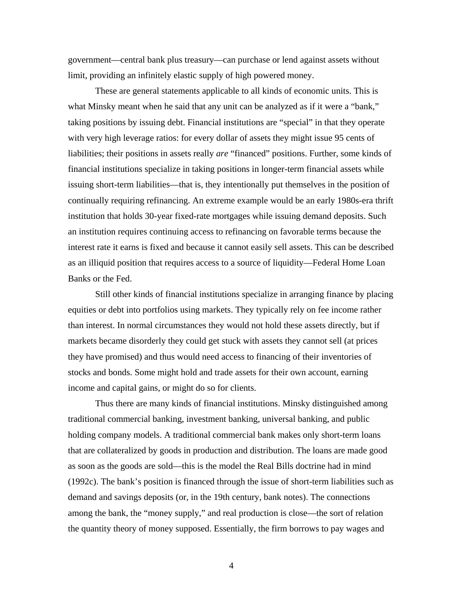government—central bank plus treasury—can purchase or lend against assets without limit, providing an infinitely elastic supply of high powered money.

These are general statements applicable to all kinds of economic units. This is what Minsky meant when he said that any unit can be analyzed as if it were a "bank," taking positions by issuing debt. Financial institutions are "special" in that they operate with very high leverage ratios: for every dollar of assets they might issue 95 cents of liabilities; their positions in assets really *are* "financed" positions. Further, some kinds of financial institutions specialize in taking positions in longer-term financial assets while issuing short-term liabilities—that is, they intentionally put themselves in the position of continually requiring refinancing. An extreme example would be an early 1980s-era thrift institution that holds 30-year fixed-rate mortgages while issuing demand deposits. Such an institution requires continuing access to refinancing on favorable terms because the interest rate it earns is fixed and because it cannot easily sell assets. This can be described as an illiquid position that requires access to a source of liquidity—Federal Home Loan Banks or the Fed.

Still other kinds of financial institutions specialize in arranging finance by placing equities or debt into portfolios using markets. They typically rely on fee income rather than interest. In normal circumstances they would not hold these assets directly, but if markets became disorderly they could get stuck with assets they cannot sell (at prices they have promised) and thus would need access to financing of their inventories of stocks and bonds. Some might hold and trade assets for their own account, earning income and capital gains, or might do so for clients.

Thus there are many kinds of financial institutions. Minsky distinguished among traditional commercial banking, investment banking, universal banking, and public holding company models. A traditional commercial bank makes only short-term loans that are collateralized by goods in production and distribution. The loans are made good as soon as the goods are sold—this is the model the Real Bills doctrine had in mind (1992c). The bank's position is financed through the issue of short-term liabilities such as demand and savings deposits (or, in the 19th century, bank notes). The connections among the bank, the "money supply," and real production is close—the sort of relation the quantity theory of money supposed. Essentially, the firm borrows to pay wages and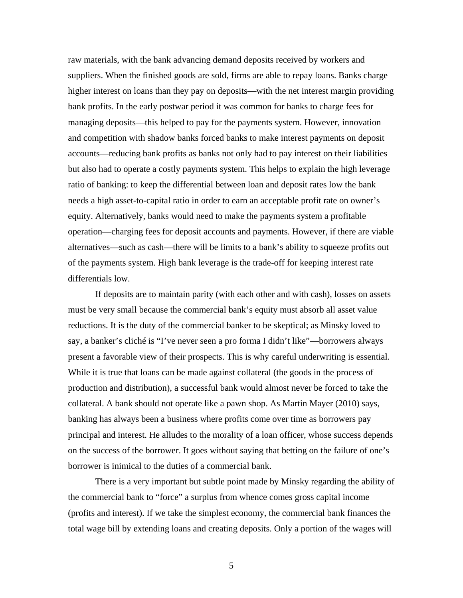raw materials, with the bank advancing demand deposits received by workers and suppliers. When the finished goods are sold, firms are able to repay loans. Banks charge higher interest on loans than they pay on deposits—with the net interest margin providing bank profits. In the early postwar period it was common for banks to charge fees for managing deposits—this helped to pay for the payments system. However, innovation and competition with shadow banks forced banks to make interest payments on deposit accounts—reducing bank profits as banks not only had to pay interest on their liabilities but also had to operate a costly payments system. This helps to explain the high leverage ratio of banking: to keep the differential between loan and deposit rates low the bank needs a high asset-to-capital ratio in order to earn an acceptable profit rate on owner's equity. Alternatively, banks would need to make the payments system a profitable operation—charging fees for deposit accounts and payments. However, if there are viable alternatives—such as cash—there will be limits to a bank's ability to squeeze profits out of the payments system. High bank leverage is the trade-off for keeping interest rate differentials low.

If deposits are to maintain parity (with each other and with cash), losses on assets must be very small because the commercial bank's equity must absorb all asset value reductions. It is the duty of the commercial banker to be skeptical; as Minsky loved to say, a banker's cliché is "I've never seen a pro forma I didn't like"—borrowers always present a favorable view of their prospects. This is why careful underwriting is essential. While it is true that loans can be made against collateral (the goods in the process of production and distribution), a successful bank would almost never be forced to take the collateral. A bank should not operate like a pawn shop. As Martin Mayer (2010) says, banking has always been a business where profits come over time as borrowers pay principal and interest. He alludes to the morality of a loan officer, whose success depends on the success of the borrower. It goes without saying that betting on the failure of one's borrower is inimical to the duties of a commercial bank.

There is a very important but subtle point made by Minsky regarding the ability of the commercial bank to "force" a surplus from whence comes gross capital income (profits and interest). If we take the simplest economy, the commercial bank finances the total wage bill by extending loans and creating deposits. Only a portion of the wages will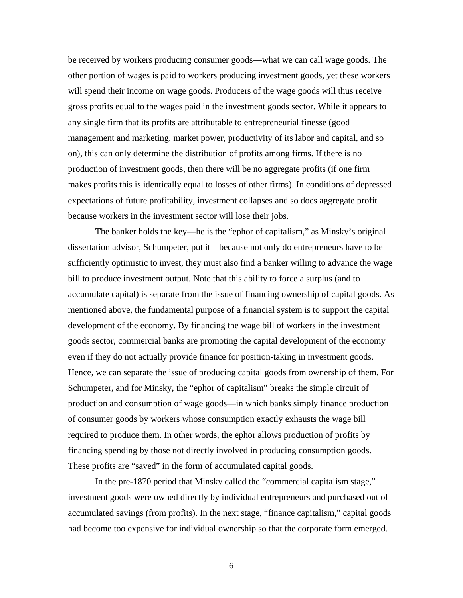be received by workers producing consumer goods—what we can call wage goods. The other portion of wages is paid to workers producing investment goods, yet these workers will spend their income on wage goods. Producers of the wage goods will thus receive gross profits equal to the wages paid in the investment goods sector. While it appears to any single firm that its profits are attributable to entrepreneurial finesse (good management and marketing, market power, productivity of its labor and capital, and so on), this can only determine the distribution of profits among firms. If there is no production of investment goods, then there will be no aggregate profits (if one firm makes profits this is identically equal to losses of other firms). In conditions of depressed expectations of future profitability, investment collapses and so does aggregate profit because workers in the investment sector will lose their jobs.

The banker holds the key—he is the "ephor of capitalism," as Minsky's original dissertation advisor, Schumpeter, put it—because not only do entrepreneurs have to be sufficiently optimistic to invest, they must also find a banker willing to advance the wage bill to produce investment output. Note that this ability to force a surplus (and to accumulate capital) is separate from the issue of financing ownership of capital goods. As mentioned above, the fundamental purpose of a financial system is to support the capital development of the economy. By financing the wage bill of workers in the investment goods sector, commercial banks are promoting the capital development of the economy even if they do not actually provide finance for position-taking in investment goods. Hence, we can separate the issue of producing capital goods from ownership of them. For Schumpeter, and for Minsky, the "ephor of capitalism" breaks the simple circuit of production and consumption of wage goods—in which banks simply finance production of consumer goods by workers whose consumption exactly exhausts the wage bill required to produce them. In other words, the ephor allows production of profits by financing spending by those not directly involved in producing consumption goods. These profits are "saved" in the form of accumulated capital goods.

In the pre-1870 period that Minsky called the "commercial capitalism stage," investment goods were owned directly by individual entrepreneurs and purchased out of accumulated savings (from profits). In the next stage, "finance capitalism," capital goods had become too expensive for individual ownership so that the corporate form emerged.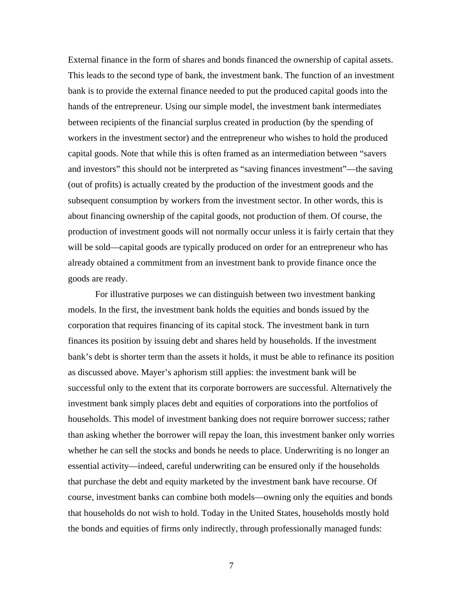External finance in the form of shares and bonds financed the ownership of capital assets. This leads to the second type of bank, the investment bank. The function of an investment bank is to provide the external finance needed to put the produced capital goods into the hands of the entrepreneur. Using our simple model, the investment bank intermediates between recipients of the financial surplus created in production (by the spending of workers in the investment sector) and the entrepreneur who wishes to hold the produced capital goods. Note that while this is often framed as an intermediation between "savers and investors" this should not be interpreted as "saving finances investment"—the saving (out of profits) is actually created by the production of the investment goods and the subsequent consumption by workers from the investment sector. In other words, this is about financing ownership of the capital goods, not production of them. Of course, the production of investment goods will not normally occur unless it is fairly certain that they will be sold—capital goods are typically produced on order for an entrepreneur who has already obtained a commitment from an investment bank to provide finance once the goods are ready.

For illustrative purposes we can distinguish between two investment banking models. In the first, the investment bank holds the equities and bonds issued by the corporation that requires financing of its capital stock. The investment bank in turn finances its position by issuing debt and shares held by households. If the investment bank's debt is shorter term than the assets it holds, it must be able to refinance its position as discussed above. Mayer's aphorism still applies: the investment bank will be successful only to the extent that its corporate borrowers are successful. Alternatively the investment bank simply places debt and equities of corporations into the portfolios of households. This model of investment banking does not require borrower success; rather than asking whether the borrower will repay the loan, this investment banker only worries whether he can sell the stocks and bonds he needs to place. Underwriting is no longer an essential activity—indeed, careful underwriting can be ensured only if the households that purchase the debt and equity marketed by the investment bank have recourse. Of course, investment banks can combine both models—owning only the equities and bonds that households do not wish to hold. Today in the United States, households mostly hold the bonds and equities of firms only indirectly, through professionally managed funds: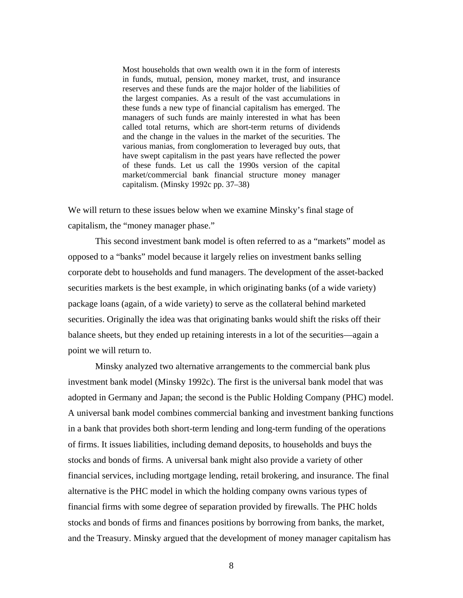Most households that own wealth own it in the form of interests in funds, mutual, pension, money market, trust, and insurance reserves and these funds are the major holder of the liabilities of the largest companies. As a result of the vast accumulations in these funds a new type of financial capitalism has emerged. The managers of such funds are mainly interested in what has been called total returns, which are short-term returns of dividends and the change in the values in the market of the securities. The various manias, from conglomeration to leveraged buy outs, that have swept capitalism in the past years have reflected the power of these funds. Let us call the 1990s version of the capital market/commercial bank financial structure money manager capitalism. (Minsky 1992c pp. 37–38)

We will return to these issues below when we examine Minsky's final stage of capitalism, the "money manager phase."

This second investment bank model is often referred to as a "markets" model as opposed to a "banks" model because it largely relies on investment banks selling corporate debt to households and fund managers. The development of the asset-backed securities markets is the best example, in which originating banks (of a wide variety) package loans (again, of a wide variety) to serve as the collateral behind marketed securities. Originally the idea was that originating banks would shift the risks off their balance sheets, but they ended up retaining interests in a lot of the securities—again a point we will return to.

Minsky analyzed two alternative arrangements to the commercial bank plus investment bank model (Minsky 1992c). The first is the universal bank model that was adopted in Germany and Japan; the second is the Public Holding Company (PHC) model. A universal bank model combines commercial banking and investment banking functions in a bank that provides both short-term lending and long-term funding of the operations of firms. It issues liabilities, including demand deposits, to households and buys the stocks and bonds of firms. A universal bank might also provide a variety of other financial services, including mortgage lending, retail brokering, and insurance. The final alternative is the PHC model in which the holding company owns various types of financial firms with some degree of separation provided by firewalls. The PHC holds stocks and bonds of firms and finances positions by borrowing from banks, the market, and the Treasury. Minsky argued that the development of money manager capitalism has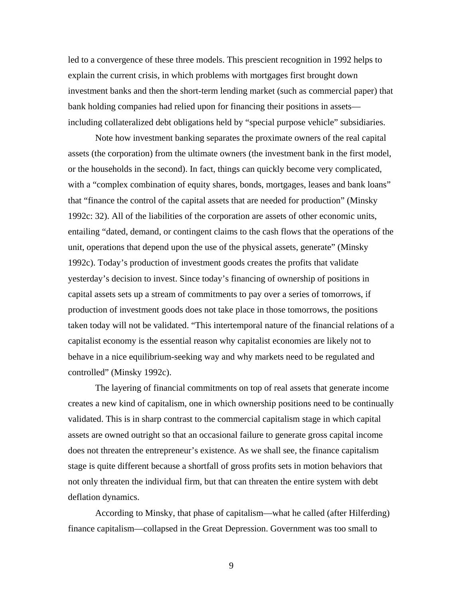led to a convergence of these three models. This prescient recognition in 1992 helps to explain the current crisis, in which problems with mortgages first brought down investment banks and then the short-term lending market (such as commercial paper) that bank holding companies had relied upon for financing their positions in assets including collateralized debt obligations held by "special purpose vehicle" subsidiaries.

Note how investment banking separates the proximate owners of the real capital assets (the corporation) from the ultimate owners (the investment bank in the first model, or the households in the second). In fact, things can quickly become very complicated, with a "complex combination of equity shares, bonds, mortgages, leases and bank loans" that "finance the control of the capital assets that are needed for production" (Minsky 1992c: 32). All of the liabilities of the corporation are assets of other economic units, entailing "dated, demand, or contingent claims to the cash flows that the operations of the unit, operations that depend upon the use of the physical assets, generate" (Minsky 1992c). Today's production of investment goods creates the profits that validate yesterday's decision to invest. Since today's financing of ownership of positions in capital assets sets up a stream of commitments to pay over a series of tomorrows, if production of investment goods does not take place in those tomorrows, the positions taken today will not be validated. "This intertemporal nature of the financial relations of a capitalist economy is the essential reason why capitalist economies are likely not to behave in a nice equilibrium-seeking way and why markets need to be regulated and controlled" (Minsky 1992c).

The layering of financial commitments on top of real assets that generate income creates a new kind of capitalism, one in which ownership positions need to be continually validated. This is in sharp contrast to the commercial capitalism stage in which capital assets are owned outright so that an occasional failure to generate gross capital income does not threaten the entrepreneur's existence. As we shall see, the finance capitalism stage is quite different because a shortfall of gross profits sets in motion behaviors that not only threaten the individual firm, but that can threaten the entire system with debt deflation dynamics.

According to Minsky, that phase of capitalism—what he called (after Hilferding) finance capitalism—collapsed in the Great Depression. Government was too small to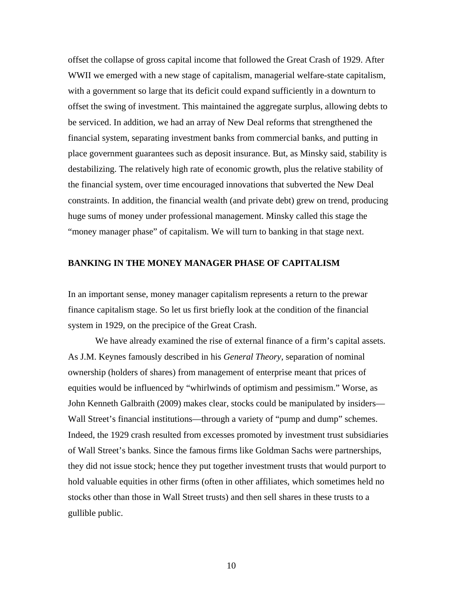offset the collapse of gross capital income that followed the Great Crash of 1929. After WWII we emerged with a new stage of capitalism, managerial welfare-state capitalism, with a government so large that its deficit could expand sufficiently in a downturn to offset the swing of investment. This maintained the aggregate surplus, allowing debts to be serviced. In addition, we had an array of New Deal reforms that strengthened the financial system, separating investment banks from commercial banks, and putting in place government guarantees such as deposit insurance. But, as Minsky said, stability is destabilizing. The relatively high rate of economic growth, plus the relative stability of the financial system, over time encouraged innovations that subverted the New Deal constraints. In addition, the financial wealth (and private debt) grew on trend, producing huge sums of money under professional management. Minsky called this stage the "money manager phase" of capitalism. We will turn to banking in that stage next.

### **BANKING IN THE MONEY MANAGER PHASE OF CAPITALISM**

In an important sense, money manager capitalism represents a return to the prewar finance capitalism stage. So let us first briefly look at the condition of the financial system in 1929, on the precipice of the Great Crash.

We have already examined the rise of external finance of a firm's capital assets. As J.M. Keynes famously described in his *General Theory*, separation of nominal ownership (holders of shares) from management of enterprise meant that prices of equities would be influenced by "whirlwinds of optimism and pessimism." Worse, as John Kenneth Galbraith (2009) makes clear, stocks could be manipulated by insiders— Wall Street's financial institutions—through a variety of "pump and dump" schemes. Indeed, the 1929 crash resulted from excesses promoted by investment trust subsidiaries of Wall Street's banks. Since the famous firms like Goldman Sachs were partnerships, they did not issue stock; hence they put together investment trusts that would purport to hold valuable equities in other firms (often in other affiliates, which sometimes held no stocks other than those in Wall Street trusts) and then sell shares in these trusts to a gullible public.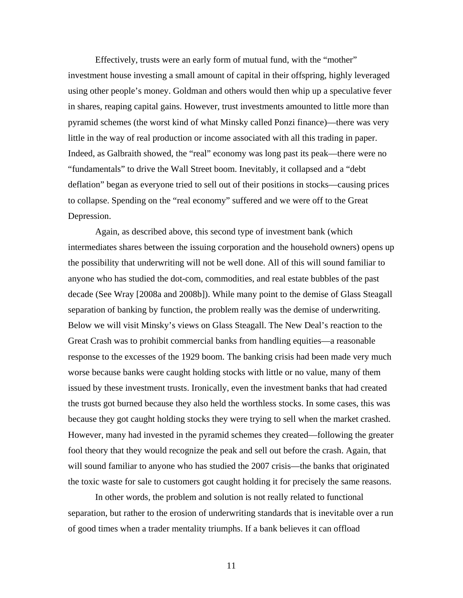Effectively, trusts were an early form of mutual fund, with the "mother" investment house investing a small amount of capital in their offspring, highly leveraged using other people's money. Goldman and others would then whip up a speculative fever in shares, reaping capital gains. However, trust investments amounted to little more than pyramid schemes (the worst kind of what Minsky called Ponzi finance)—there was very little in the way of real production or income associated with all this trading in paper. Indeed, as Galbraith showed, the "real" economy was long past its peak—there were no "fundamentals" to drive the Wall Street boom. Inevitably, it collapsed and a "debt deflation" began as everyone tried to sell out of their positions in stocks—causing prices to collapse. Spending on the "real economy" suffered and we were off to the Great Depression.

Again, as described above, this second type of investment bank (which intermediates shares between the issuing corporation and the household owners) opens up the possibility that underwriting will not be well done. All of this will sound familiar to anyone who has studied the dot-com, commodities, and real estate bubbles of the past decade (See Wray [2008a and 2008b]). While many point to the demise of Glass Steagall separation of banking by function, the problem really was the demise of underwriting. Below we will visit Minsky's views on Glass Steagall. The New Deal's reaction to the Great Crash was to prohibit commercial banks from handling equities—a reasonable response to the excesses of the 1929 boom. The banking crisis had been made very much worse because banks were caught holding stocks with little or no value, many of them issued by these investment trusts. Ironically, even the investment banks that had created the trusts got burned because they also held the worthless stocks. In some cases, this was because they got caught holding stocks they were trying to sell when the market crashed. However, many had invested in the pyramid schemes they created—following the greater fool theory that they would recognize the peak and sell out before the crash. Again, that will sound familiar to anyone who has studied the 2007 crisis—the banks that originated the toxic waste for sale to customers got caught holding it for precisely the same reasons.

In other words, the problem and solution is not really related to functional separation, but rather to the erosion of underwriting standards that is inevitable over a run of good times when a trader mentality triumphs. If a bank believes it can offload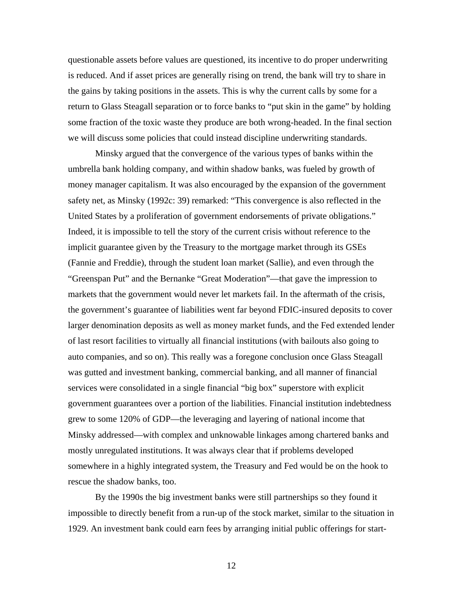questionable assets before values are questioned, its incentive to do proper underwriting is reduced. And if asset prices are generally rising on trend, the bank will try to share in the gains by taking positions in the assets. This is why the current calls by some for a return to Glass Steagall separation or to force banks to "put skin in the game" by holding some fraction of the toxic waste they produce are both wrong-headed. In the final section we will discuss some policies that could instead discipline underwriting standards.

Minsky argued that the convergence of the various types of banks within the umbrella bank holding company, and within shadow banks, was fueled by growth of money manager capitalism. It was also encouraged by the expansion of the government safety net, as Minsky (1992c: 39) remarked: "This convergence is also reflected in the United States by a proliferation of government endorsements of private obligations." Indeed, it is impossible to tell the story of the current crisis without reference to the implicit guarantee given by the Treasury to the mortgage market through its GSEs (Fannie and Freddie), through the student loan market (Sallie), and even through the "Greenspan Put" and the Bernanke "Great Moderation"—that gave the impression to markets that the government would never let markets fail. In the aftermath of the crisis, the government's guarantee of liabilities went far beyond FDIC-insured deposits to cover larger denomination deposits as well as money market funds, and the Fed extended lender of last resort facilities to virtually all financial institutions (with bailouts also going to auto companies, and so on). This really was a foregone conclusion once Glass Steagall was gutted and investment banking, commercial banking, and all manner of financial services were consolidated in a single financial "big box" superstore with explicit government guarantees over a portion of the liabilities. Financial institution indebtedness grew to some 120% of GDP—the leveraging and layering of national income that Minsky addressed—with complex and unknowable linkages among chartered banks and mostly unregulated institutions. It was always clear that if problems developed somewhere in a highly integrated system, the Treasury and Fed would be on the hook to rescue the shadow banks, too.

By the 1990s the big investment banks were still partnerships so they found it impossible to directly benefit from a run-up of the stock market, similar to the situation in 1929. An investment bank could earn fees by arranging initial public offerings for start-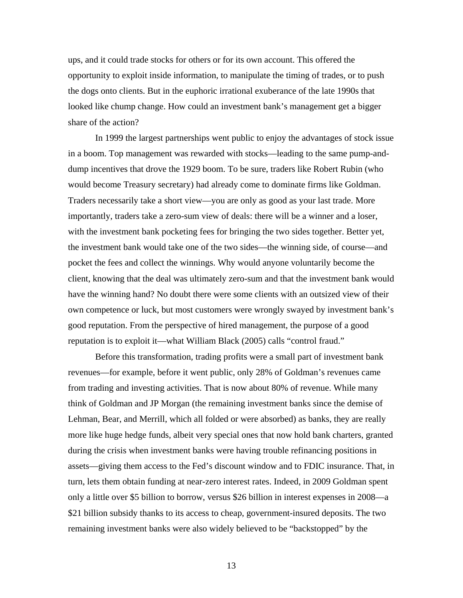ups, and it could trade stocks for others or for its own account. This offered the opportunity to exploit inside information, to manipulate the timing of trades, or to push the dogs onto clients. But in the euphoric irrational exuberance of the late 1990s that looked like chump change. How could an investment bank's management get a bigger share of the action?

In 1999 the largest partnerships went public to enjoy the advantages of stock issue in a boom. Top management was rewarded with stocks—leading to the same pump-anddump incentives that drove the 1929 boom. To be sure, traders like Robert Rubin (who would become Treasury secretary) had already come to dominate firms like Goldman. Traders necessarily take a short view—you are only as good as your last trade. More importantly, traders take a zero-sum view of deals: there will be a winner and a loser, with the investment bank pocketing fees for bringing the two sides together. Better yet, the investment bank would take one of the two sides—the winning side, of course—and pocket the fees and collect the winnings. Why would anyone voluntarily become the client, knowing that the deal was ultimately zero-sum and that the investment bank would have the winning hand? No doubt there were some clients with an outsized view of their own competence or luck, but most customers were wrongly swayed by investment bank's good reputation. From the perspective of hired management, the purpose of a good reputation is to exploit it—what William Black (2005) calls "control fraud."

Before this transformation, trading profits were a small part of investment bank revenues—for example, before it went public, only 28% of Goldman's revenues came from trading and investing activities. That is now about 80% of revenue. While many think of Goldman and JP Morgan (the remaining investment banks since the demise of Lehman, Bear, and Merrill, which all folded or were absorbed) as banks, they are really more like huge hedge funds, albeit very special ones that now hold bank charters, granted during the crisis when investment banks were having trouble refinancing positions in assets—giving them access to the Fed's discount window and to FDIC insurance. That, in turn, lets them obtain funding at near-zero interest rates. Indeed, in 2009 Goldman spent only a little over \$5 billion to borrow, versus \$26 billion in interest expenses in 2008—a \$21 billion subsidy thanks to its access to cheap, government-insured deposits. The two remaining investment banks were also widely believed to be "backstopped" by the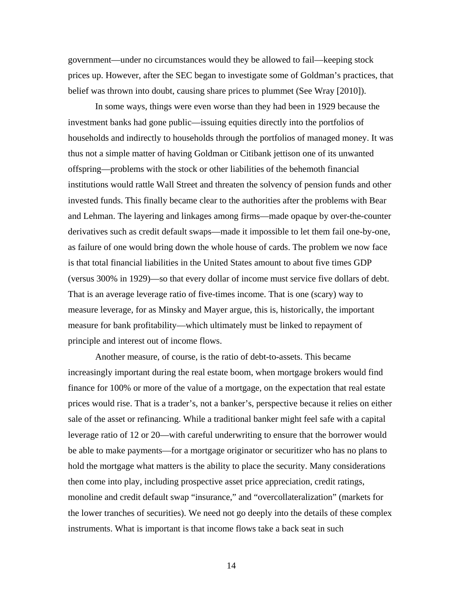government—under no circumstances would they be allowed to fail—keeping stock prices up. However, after the SEC began to investigate some of Goldman's practices, that belief was thrown into doubt, causing share prices to plummet (See Wray [2010]).

In some ways, things were even worse than they had been in 1929 because the investment banks had gone public—issuing equities directly into the portfolios of households and indirectly to households through the portfolios of managed money. It was thus not a simple matter of having Goldman or Citibank jettison one of its unwanted offspring—problems with the stock or other liabilities of the behemoth financial institutions would rattle Wall Street and threaten the solvency of pension funds and other invested funds. This finally became clear to the authorities after the problems with Bear and Lehman. The layering and linkages among firms—made opaque by over-the-counter derivatives such as credit default swaps—made it impossible to let them fail one-by-one, as failure of one would bring down the whole house of cards. The problem we now face is that total financial liabilities in the United States amount to about five times GDP (versus 300% in 1929)—so that every dollar of income must service five dollars of debt. That is an average leverage ratio of five-times income. That is one (scary) way to measure leverage, for as Minsky and Mayer argue, this is, historically, the important measure for bank profitability—which ultimately must be linked to repayment of principle and interest out of income flows.

Another measure, of course, is the ratio of debt-to-assets. This became increasingly important during the real estate boom, when mortgage brokers would find finance for 100% or more of the value of a mortgage, on the expectation that real estate prices would rise. That is a trader's, not a banker's, perspective because it relies on either sale of the asset or refinancing. While a traditional banker might feel safe with a capital leverage ratio of 12 or 20—with careful underwriting to ensure that the borrower would be able to make payments—for a mortgage originator or securitizer who has no plans to hold the mortgage what matters is the ability to place the security. Many considerations then come into play, including prospective asset price appreciation, credit ratings, monoline and credit default swap "insurance," and "overcollateralization" (markets for the lower tranches of securities). We need not go deeply into the details of these complex instruments. What is important is that income flows take a back seat in such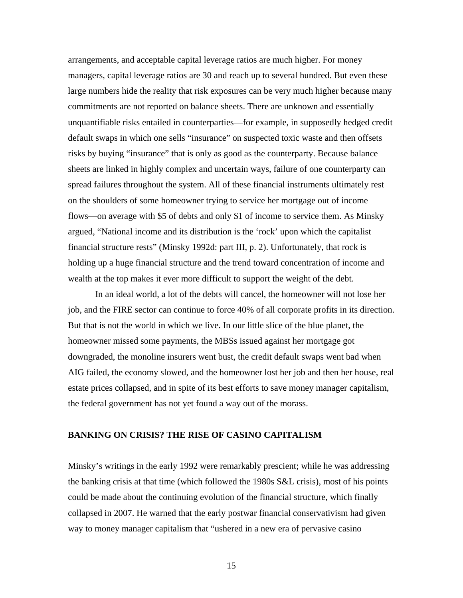arrangements, and acceptable capital leverage ratios are much higher. For money managers, capital leverage ratios are 30 and reach up to several hundred. But even these large numbers hide the reality that risk exposures can be very much higher because many commitments are not reported on balance sheets. There are unknown and essentially unquantifiable risks entailed in counterparties—for example, in supposedly hedged credit default swaps in which one sells "insurance" on suspected toxic waste and then offsets risks by buying "insurance" that is only as good as the counterparty. Because balance sheets are linked in highly complex and uncertain ways, failure of one counterparty can spread failures throughout the system. All of these financial instruments ultimately rest on the shoulders of some homeowner trying to service her mortgage out of income flows—on average with \$5 of debts and only \$1 of income to service them. As Minsky argued, "National income and its distribution is the 'rock' upon which the capitalist financial structure rests" (Minsky 1992d: part III, p. 2). Unfortunately, that rock is holding up a huge financial structure and the trend toward concentration of income and wealth at the top makes it ever more difficult to support the weight of the debt.

In an ideal world, a lot of the debts will cancel, the homeowner will not lose her job, and the FIRE sector can continue to force 40% of all corporate profits in its direction. But that is not the world in which we live. In our little slice of the blue planet, the homeowner missed some payments, the MBSs issued against her mortgage got downgraded, the monoline insurers went bust, the credit default swaps went bad when AIG failed, the economy slowed, and the homeowner lost her job and then her house, real estate prices collapsed, and in spite of its best efforts to save money manager capitalism, the federal government has not yet found a way out of the morass.

#### **BANKING ON CRISIS? THE RISE OF CASINO CAPITALISM**

Minsky's writings in the early 1992 were remarkably prescient; while he was addressing the banking crisis at that time (which followed the 1980s S&L crisis), most of his points could be made about the continuing evolution of the financial structure, which finally collapsed in 2007. He warned that the early postwar financial conservativism had given way to money manager capitalism that "ushered in a new era of pervasive casino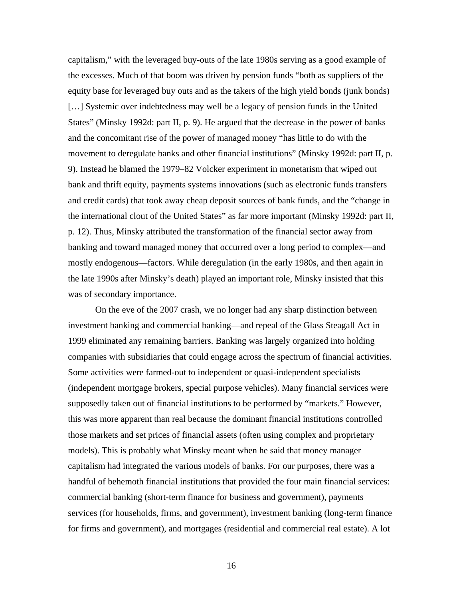capitalism," with the leveraged buy-outs of the late 1980s serving as a good example of the excesses. Much of that boom was driven by pension funds "both as suppliers of the equity base for leveraged buy outs and as the takers of the high yield bonds (junk bonds) [...] Systemic over indebtedness may well be a legacy of pension funds in the United States" (Minsky 1992d: part II, p. 9). He argued that the decrease in the power of banks and the concomitant rise of the power of managed money "has little to do with the movement to deregulate banks and other financial institutions" (Minsky 1992d: part II, p. 9). Instead he blamed the 1979–82 Volcker experiment in monetarism that wiped out bank and thrift equity, payments systems innovations (such as electronic funds transfers and credit cards) that took away cheap deposit sources of bank funds, and the "change in the international clout of the United States" as far more important (Minsky 1992d: part II, p. 12). Thus, Minsky attributed the transformation of the financial sector away from banking and toward managed money that occurred over a long period to complex—and mostly endogenous—factors. While deregulation (in the early 1980s, and then again in the late 1990s after Minsky's death) played an important role, Minsky insisted that this was of secondary importance.

On the eve of the 2007 crash, we no longer had any sharp distinction between investment banking and commercial banking—and repeal of the Glass Steagall Act in 1999 eliminated any remaining barriers. Banking was largely organized into holding companies with subsidiaries that could engage across the spectrum of financial activities. Some activities were farmed-out to independent or quasi-independent specialists (independent mortgage brokers, special purpose vehicles). Many financial services were supposedly taken out of financial institutions to be performed by "markets." However, this was more apparent than real because the dominant financial institutions controlled those markets and set prices of financial assets (often using complex and proprietary models). This is probably what Minsky meant when he said that money manager capitalism had integrated the various models of banks. For our purposes, there was a handful of behemoth financial institutions that provided the four main financial services: commercial banking (short-term finance for business and government), payments services (for households, firms, and government), investment banking (long-term finance for firms and government), and mortgages (residential and commercial real estate). A lot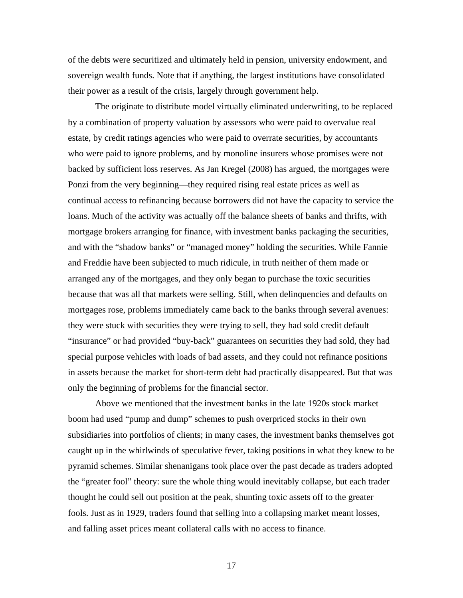of the debts were securitized and ultimately held in pension, university endowment, and sovereign wealth funds. Note that if anything, the largest institutions have consolidated their power as a result of the crisis, largely through government help.

The originate to distribute model virtually eliminated underwriting, to be replaced by a combination of property valuation by assessors who were paid to overvalue real estate, by credit ratings agencies who were paid to overrate securities, by accountants who were paid to ignore problems, and by monoline insurers whose promises were not backed by sufficient loss reserves. As Jan Kregel (2008) has argued, the mortgages were Ponzi from the very beginning—they required rising real estate prices as well as continual access to refinancing because borrowers did not have the capacity to service the loans. Much of the activity was actually off the balance sheets of banks and thrifts, with mortgage brokers arranging for finance, with investment banks packaging the securities, and with the "shadow banks" or "managed money" holding the securities. While Fannie and Freddie have been subjected to much ridicule, in truth neither of them made or arranged any of the mortgages, and they only began to purchase the toxic securities because that was all that markets were selling. Still, when delinquencies and defaults on mortgages rose, problems immediately came back to the banks through several avenues: they were stuck with securities they were trying to sell, they had sold credit default "insurance" or had provided "buy-back" guarantees on securities they had sold, they had special purpose vehicles with loads of bad assets, and they could not refinance positions in assets because the market for short-term debt had practically disappeared. But that was only the beginning of problems for the financial sector.

Above we mentioned that the investment banks in the late 1920s stock market boom had used "pump and dump" schemes to push overpriced stocks in their own subsidiaries into portfolios of clients; in many cases, the investment banks themselves got caught up in the whirlwinds of speculative fever, taking positions in what they knew to be pyramid schemes. Similar shenanigans took place over the past decade as traders adopted the "greater fool" theory: sure the whole thing would inevitably collapse, but each trader thought he could sell out position at the peak, shunting toxic assets off to the greater fools. Just as in 1929, traders found that selling into a collapsing market meant losses, and falling asset prices meant collateral calls with no access to finance.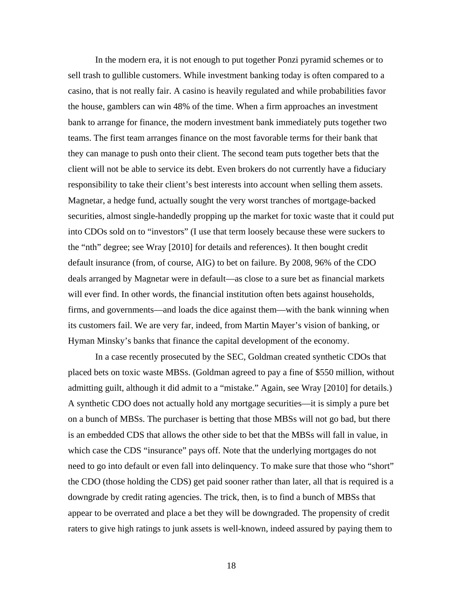In the modern era, it is not enough to put together Ponzi pyramid schemes or to sell trash to gullible customers. While investment banking today is often compared to a casino, that is not really fair. A casino is heavily regulated and while probabilities favor the house, gamblers can win 48% of the time. When a firm approaches an investment bank to arrange for finance, the modern investment bank immediately puts together two teams. The first team arranges finance on the most favorable terms for their bank that they can manage to push onto their client. The second team puts together bets that the client will not be able to service its debt. Even brokers do not currently have a fiduciary responsibility to take their client's best interests into account when selling them assets. Magnetar, a hedge fund, actually sought the very worst tranches of mortgage-backed securities, almost single-handedly propping up the market for toxic waste that it could put into CDOs sold on to "investors" (I use that term loosely because these were suckers to the "nth" degree; see Wray [2010] for details and references). It then bought credit default insurance (from, of course, AIG) to bet on failure. By 2008, 96% of the CDO deals arranged by Magnetar were in default—as close to a sure bet as financial markets will ever find. In other words, the financial institution often bets against households, firms, and governments—and loads the dice against them—with the bank winning when its customers fail. We are very far, indeed, from Martin Mayer's vision of banking, or Hyman Minsky's banks that finance the capital development of the economy.

In a case recently prosecuted by the SEC, Goldman created synthetic CDOs that placed bets on toxic waste MBSs. (Goldman agreed to pay a fine of \$550 million, without admitting guilt, although it did admit to a "mistake." Again, see Wray [2010] for details.) A synthetic CDO does not actually hold any mortgage securities—it is simply a pure bet on a bunch of MBSs. The purchaser is betting that those MBSs will not go bad, but there is an embedded CDS that allows the other side to bet that the MBSs will fall in value, in which case the CDS "insurance" pays off. Note that the underlying mortgages do not need to go into default or even fall into delinquency. To make sure that those who "short" the CDO (those holding the CDS) get paid sooner rather than later, all that is required is a downgrade by credit rating agencies. The trick, then, is to find a bunch of MBSs that appear to be overrated and place a bet they will be downgraded. The propensity of credit raters to give high ratings to junk assets is well-known, indeed assured by paying them to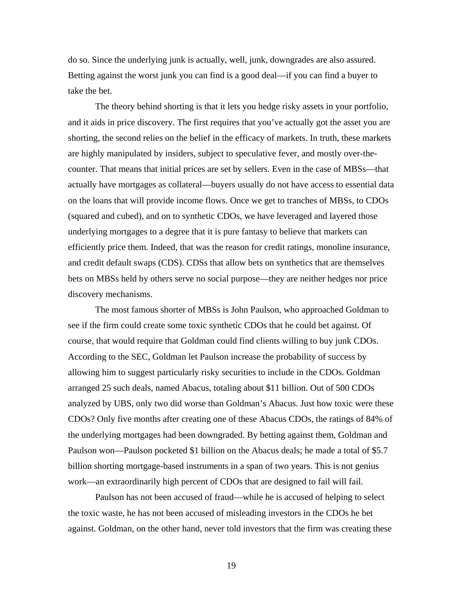do so. Since the underlying junk is actually, well, junk, downgrades are also assured. Betting against the worst junk you can find is a good deal—if you can find a buyer to take the bet.

The theory behind shorting is that it lets you hedge risky assets in your portfolio, and it aids in price discovery. The first requires that you've actually got the asset you are shorting, the second relies on the belief in the efficacy of markets. In truth, these markets are highly manipulated by insiders, subject to speculative fever, and mostly over-thecounter. That means that initial prices are set by sellers. Even in the case of MBSs—that actually have mortgages as collateral—buyers usually do not have access to essential data on the loans that will provide income flows. Once we get to tranches of MBSs, to CDOs (squared and cubed), and on to synthetic CDOs, we have leveraged and layered those underlying mortgages to a degree that it is pure fantasy to believe that markets can efficiently price them. Indeed, that was the reason for credit ratings, monoline insurance, and credit default swaps (CDS). CDSs that allow bets on synthetics that are themselves bets on MBSs held by others serve no social purpose—they are neither hedges nor price discovery mechanisms.

The most famous shorter of MBSs is John Paulson, who approached Goldman to see if the firm could create some toxic synthetic CDOs that he could bet against. Of course, that would require that Goldman could find clients willing to buy junk CDOs. According to the SEC, Goldman let Paulson increase the probability of success by allowing him to suggest particularly risky securities to include in the CDOs. Goldman arranged 25 such deals, named Abacus, totaling about \$11 billion. Out of 500 CDOs analyzed by UBS, only two did worse than Goldman's Abacus. Just how toxic were these CDOs? Only five months after creating one of these Abacus CDOs, the ratings of 84% of the underlying mortgages had been downgraded. By betting against them, Goldman and Paulson won—Paulson pocketed \$1 billion on the Abacus deals; he made a total of \$5.7 billion shorting mortgage-based instruments in a span of two years. This is not genius work—an extraordinarily high percent of CDOs that are designed to fail will fail.

Paulson has not been accused of fraud—while he is accused of helping to select the toxic waste, he has not been accused of misleading investors in the CDOs he bet against. Goldman, on the other hand, never told investors that the firm was creating these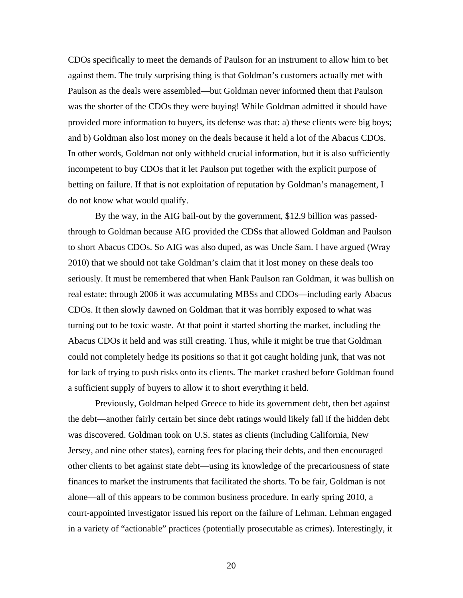CDOs specifically to meet the demands of Paulson for an instrument to allow him to bet against them. The truly surprising thing is that Goldman's customers actually met with Paulson as the deals were assembled—but Goldman never informed them that Paulson was the shorter of the CDOs they were buying! While Goldman admitted it should have provided more information to buyers, its defense was that: a) these clients were big boys; and b) Goldman also lost money on the deals because it held a lot of the Abacus CDOs. In other words, Goldman not only withheld crucial information, but it is also sufficiently incompetent to buy CDOs that it let Paulson put together with the explicit purpose of betting on failure. If that is not exploitation of reputation by Goldman's management, I do not know what would qualify.

By the way, in the AIG bail-out by the government, \$12.9 billion was passedthrough to Goldman because AIG provided the CDSs that allowed Goldman and Paulson to short Abacus CDOs. So AIG was also duped, as was Uncle Sam. I have argued (Wray 2010) that we should not take Goldman's claim that it lost money on these deals too seriously. It must be remembered that when Hank Paulson ran Goldman, it was bullish on real estate; through 2006 it was accumulating MBSs and CDOs—including early Abacus CDOs. It then slowly dawned on Goldman that it was horribly exposed to what was turning out to be toxic waste. At that point it started shorting the market, including the Abacus CDOs it held and was still creating. Thus, while it might be true that Goldman could not completely hedge its positions so that it got caught holding junk, that was not for lack of trying to push risks onto its clients. The market crashed before Goldman found a sufficient supply of buyers to allow it to short everything it held.

Previously, Goldman helped Greece to hide its government debt, then bet against the debt—another fairly certain bet since debt ratings would likely fall if the hidden debt was discovered. Goldman took on U.S. states as clients (including California, New Jersey, and nine other states), earning fees for placing their debts, and then encouraged other clients to bet against state debt—using its knowledge of the precariousness of state finances to market the instruments that facilitated the shorts. To be fair, Goldman is not alone—all of this appears to be common business procedure. In early spring 2010, a court-appointed investigator issued his report on the failure of Lehman. Lehman engaged in a variety of "actionable" practices (potentially prosecutable as crimes). Interestingly, it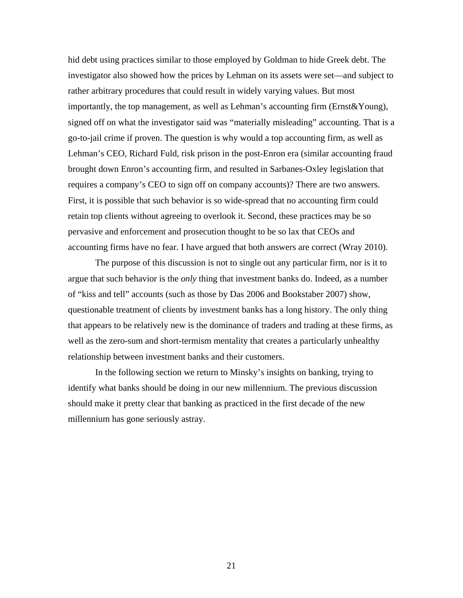hid debt using practices similar to those employed by Goldman to hide Greek debt. The investigator also showed how the prices by Lehman on its assets were set—and subject to rather arbitrary procedures that could result in widely varying values. But most importantly, the top management, as well as Lehman's accounting firm (Ernst&Young), signed off on what the investigator said was "materially misleading" accounting. That is a go-to-jail crime if proven. The question is why would a top accounting firm, as well as Lehman's CEO, Richard Fuld, risk prison in the post-Enron era (similar accounting fraud brought down Enron's accounting firm, and resulted in Sarbanes-Oxley legislation that requires a company's CEO to sign off on company accounts)? There are two answers. First, it is possible that such behavior is so wide-spread that no accounting firm could retain top clients without agreeing to overlook it. Second, these practices may be so pervasive and enforcement and prosecution thought to be so lax that CEOs and accounting firms have no fear. I have argued that both answers are correct (Wray 2010).

The purpose of this discussion is not to single out any particular firm, nor is it to argue that such behavior is the *only* thing that investment banks do. Indeed, as a number of "kiss and tell" accounts (such as those by Das 2006 and Bookstaber 2007) show, questionable treatment of clients by investment banks has a long history. The only thing that appears to be relatively new is the dominance of traders and trading at these firms, as well as the zero-sum and short-termism mentality that creates a particularly unhealthy relationship between investment banks and their customers.

In the following section we return to Minsky's insights on banking, trying to identify what banks should be doing in our new millennium. The previous discussion should make it pretty clear that banking as practiced in the first decade of the new millennium has gone seriously astray.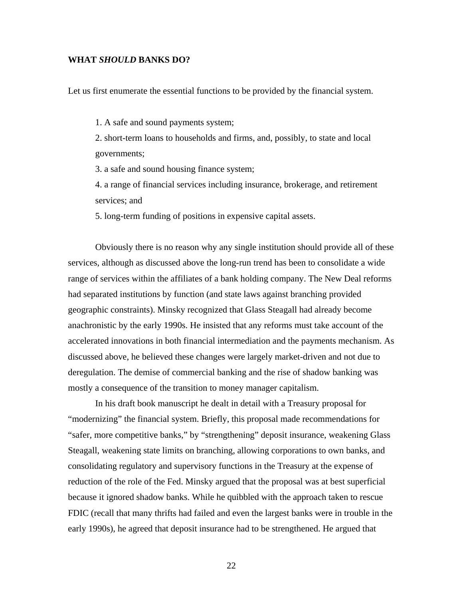# **WHAT** *SHOULD* **BANKS DO?**

Let us first enumerate the essential functions to be provided by the financial system.

1. A safe and sound payments system;

2. short-term loans to households and firms, and, possibly, to state and local governments;

3. a safe and sound housing finance system;

4. a range of financial services including insurance, brokerage, and retirement services; and

5. long-term funding of positions in expensive capital assets.

Obviously there is no reason why any single institution should provide all of these services, although as discussed above the long-run trend has been to consolidate a wide range of services within the affiliates of a bank holding company. The New Deal reforms had separated institutions by function (and state laws against branching provided geographic constraints). Minsky recognized that Glass Steagall had already become anachronistic by the early 1990s. He insisted that any reforms must take account of the accelerated innovations in both financial intermediation and the payments mechanism. As discussed above, he believed these changes were largely market-driven and not due to deregulation. The demise of commercial banking and the rise of shadow banking was mostly a consequence of the transition to money manager capitalism.

In his draft book manuscript he dealt in detail with a Treasury proposal for "modernizing" the financial system. Briefly, this proposal made recommendations for "safer, more competitive banks," by "strengthening" deposit insurance, weakening Glass Steagall, weakening state limits on branching, allowing corporations to own banks, and consolidating regulatory and supervisory functions in the Treasury at the expense of reduction of the role of the Fed. Minsky argued that the proposal was at best superficial because it ignored shadow banks. While he quibbled with the approach taken to rescue FDIC (recall that many thrifts had failed and even the largest banks were in trouble in the early 1990s), he agreed that deposit insurance had to be strengthened. He argued that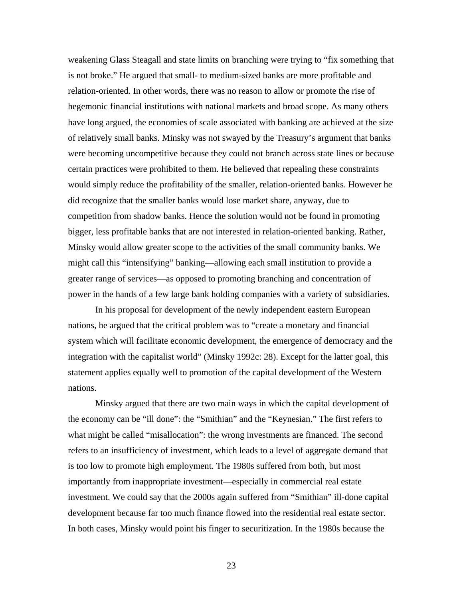weakening Glass Steagall and state limits on branching were trying to "fix something that is not broke." He argued that small- to medium-sized banks are more profitable and relation-oriented. In other words, there was no reason to allow or promote the rise of hegemonic financial institutions with national markets and broad scope. As many others have long argued, the economies of scale associated with banking are achieved at the size of relatively small banks. Minsky was not swayed by the Treasury's argument that banks were becoming uncompetitive because they could not branch across state lines or because certain practices were prohibited to them. He believed that repealing these constraints would simply reduce the profitability of the smaller, relation-oriented banks. However he did recognize that the smaller banks would lose market share, anyway, due to competition from shadow banks. Hence the solution would not be found in promoting bigger, less profitable banks that are not interested in relation-oriented banking. Rather, Minsky would allow greater scope to the activities of the small community banks. We might call this "intensifying" banking—allowing each small institution to provide a greater range of services—as opposed to promoting branching and concentration of power in the hands of a few large bank holding companies with a variety of subsidiaries.

In his proposal for development of the newly independent eastern European nations, he argued that the critical problem was to "create a monetary and financial system which will facilitate economic development, the emergence of democracy and the integration with the capitalist world" (Minsky 1992c: 28). Except for the latter goal, this statement applies equally well to promotion of the capital development of the Western nations.

Minsky argued that there are two main ways in which the capital development of the economy can be "ill done": the "Smithian" and the "Keynesian." The first refers to what might be called "misallocation": the wrong investments are financed. The second refers to an insufficiency of investment, which leads to a level of aggregate demand that is too low to promote high employment. The 1980s suffered from both, but most importantly from inappropriate investment—especially in commercial real estate investment. We could say that the 2000s again suffered from "Smithian" ill-done capital development because far too much finance flowed into the residential real estate sector. In both cases, Minsky would point his finger to securitization. In the 1980s because the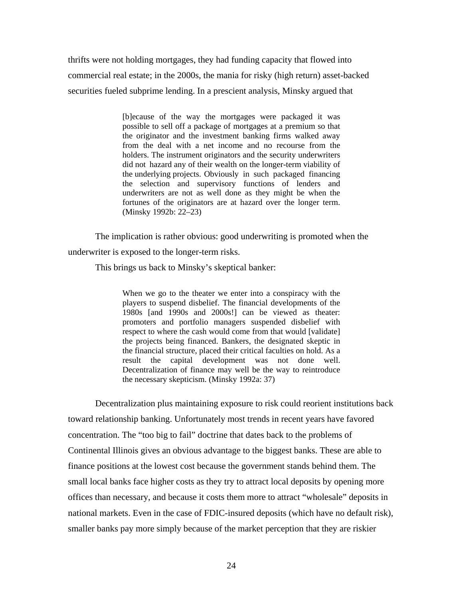thrifts were not holding mortgages, they had funding capacity that flowed into commercial real estate; in the 2000s, the mania for risky (high return) asset-backed securities fueled subprime lending. In a prescient analysis, Minsky argued that

> [b]ecause of the way the mortgages were packaged it was possible to sell off a package of mortgages at a premium so that the originator and the investment banking firms walked away from the deal with a net income and no recourse from the holders. The instrument originators and the security underwriters did not hazard any of their wealth on the longer-term viability of the underlying projects. Obviously in such packaged financing the selection and supervisory functions of lenders and underwriters are not as well done as they might be when the fortunes of the originators are at hazard over the longer term. (Minsky 1992b: 22–23)

The implication is rather obvious: good underwriting is promoted when the underwriter is exposed to the longer-term risks.

This brings us back to Minsky's skeptical banker:

When we go to the theater we enter into a conspiracy with the players to suspend disbelief. The financial developments of the 1980s [and 1990s and 2000s!] can be viewed as theater: promoters and portfolio managers suspended disbelief with respect to where the cash would come from that would [validate] the projects being financed. Bankers, the designated skeptic in the financial structure, placed their critical faculties on hold. As a result the capital development was not done well. Decentralization of finance may well be the way to reintroduce the necessary skepticism. (Minsky 1992a: 37)

Decentralization plus maintaining exposure to risk could reorient institutions back toward relationship banking. Unfortunately most trends in recent years have favored concentration. The "too big to fail" doctrine that dates back to the problems of Continental Illinois gives an obvious advantage to the biggest banks. These are able to finance positions at the lowest cost because the government stands behind them. The small local banks face higher costs as they try to attract local deposits by opening more offices than necessary, and because it costs them more to attract "wholesale" deposits in national markets. Even in the case of FDIC-insured deposits (which have no default risk), smaller banks pay more simply because of the market perception that they are riskier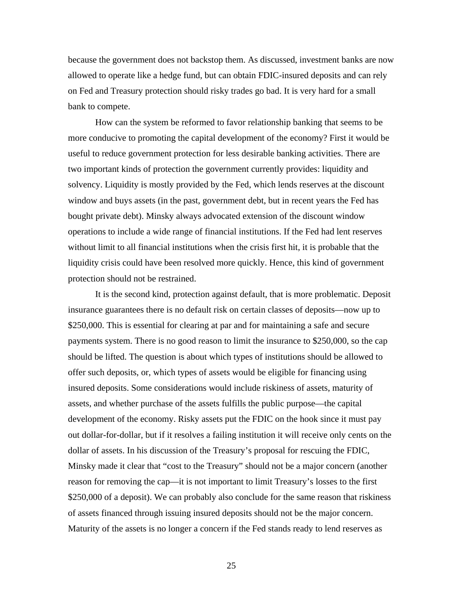because the government does not backstop them. As discussed, investment banks are now allowed to operate like a hedge fund, but can obtain FDIC-insured deposits and can rely on Fed and Treasury protection should risky trades go bad. It is very hard for a small bank to compete.

How can the system be reformed to favor relationship banking that seems to be more conducive to promoting the capital development of the economy? First it would be useful to reduce government protection for less desirable banking activities. There are two important kinds of protection the government currently provides: liquidity and solvency. Liquidity is mostly provided by the Fed, which lends reserves at the discount window and buys assets (in the past, government debt, but in recent years the Fed has bought private debt). Minsky always advocated extension of the discount window operations to include a wide range of financial institutions. If the Fed had lent reserves without limit to all financial institutions when the crisis first hit, it is probable that the liquidity crisis could have been resolved more quickly. Hence, this kind of government protection should not be restrained.

It is the second kind, protection against default, that is more problematic. Deposit insurance guarantees there is no default risk on certain classes of deposits—now up to \$250,000. This is essential for clearing at par and for maintaining a safe and secure payments system. There is no good reason to limit the insurance to \$250,000, so the cap should be lifted. The question is about which types of institutions should be allowed to offer such deposits, or, which types of assets would be eligible for financing using insured deposits. Some considerations would include riskiness of assets, maturity of assets, and whether purchase of the assets fulfills the public purpose—the capital development of the economy. Risky assets put the FDIC on the hook since it must pay out dollar-for-dollar, but if it resolves a failing institution it will receive only cents on the dollar of assets. In his discussion of the Treasury's proposal for rescuing the FDIC, Minsky made it clear that "cost to the Treasury" should not be a major concern (another reason for removing the cap—it is not important to limit Treasury's losses to the first \$250,000 of a deposit). We can probably also conclude for the same reason that riskiness of assets financed through issuing insured deposits should not be the major concern. Maturity of the assets is no longer a concern if the Fed stands ready to lend reserves as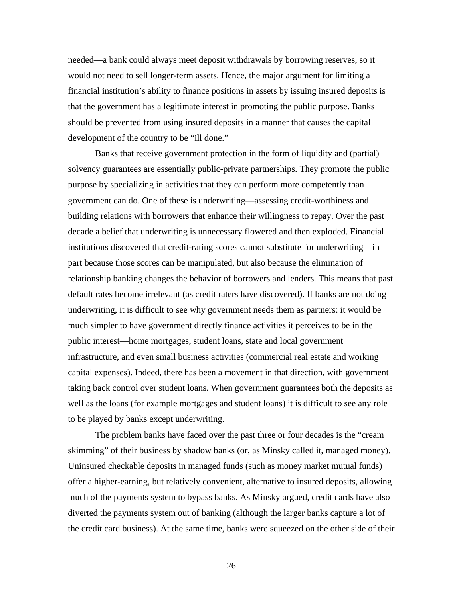needed—a bank could always meet deposit withdrawals by borrowing reserves, so it would not need to sell longer-term assets. Hence, the major argument for limiting a financial institution's ability to finance positions in assets by issuing insured deposits is that the government has a legitimate interest in promoting the public purpose. Banks should be prevented from using insured deposits in a manner that causes the capital development of the country to be "ill done."

Banks that receive government protection in the form of liquidity and (partial) solvency guarantees are essentially public-private partnerships. They promote the public purpose by specializing in activities that they can perform more competently than government can do. One of these is underwriting—assessing credit-worthiness and building relations with borrowers that enhance their willingness to repay. Over the past decade a belief that underwriting is unnecessary flowered and then exploded. Financial institutions discovered that credit-rating scores cannot substitute for underwriting—in part because those scores can be manipulated, but also because the elimination of relationship banking changes the behavior of borrowers and lenders. This means that past default rates become irrelevant (as credit raters have discovered). If banks are not doing underwriting, it is difficult to see why government needs them as partners: it would be much simpler to have government directly finance activities it perceives to be in the public interest—home mortgages, student loans, state and local government infrastructure, and even small business activities (commercial real estate and working capital expenses). Indeed, there has been a movement in that direction, with government taking back control over student loans. When government guarantees both the deposits as well as the loans (for example mortgages and student loans) it is difficult to see any role to be played by banks except underwriting.

The problem banks have faced over the past three or four decades is the "cream skimming" of their business by shadow banks (or, as Minsky called it, managed money). Uninsured checkable deposits in managed funds (such as money market mutual funds) offer a higher-earning, but relatively convenient, alternative to insured deposits, allowing much of the payments system to bypass banks. As Minsky argued, credit cards have also diverted the payments system out of banking (although the larger banks capture a lot of the credit card business). At the same time, banks were squeezed on the other side of their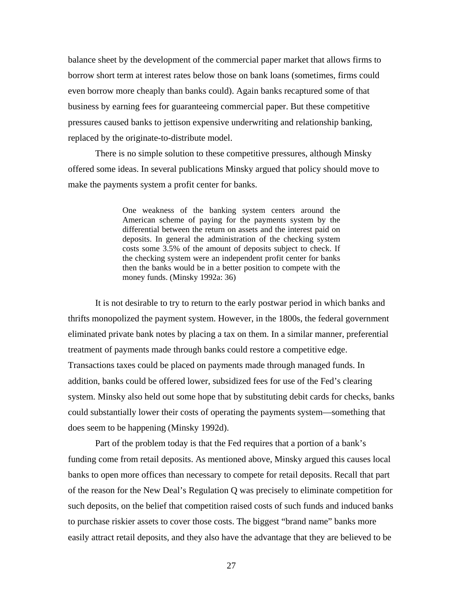balance sheet by the development of the commercial paper market that allows firms to borrow short term at interest rates below those on bank loans (sometimes, firms could even borrow more cheaply than banks could). Again banks recaptured some of that business by earning fees for guaranteeing commercial paper. But these competitive pressures caused banks to jettison expensive underwriting and relationship banking, replaced by the originate-to-distribute model.

There is no simple solution to these competitive pressures, although Minsky offered some ideas. In several publications Minsky argued that policy should move to make the payments system a profit center for banks.

> One weakness of the banking system centers around the American scheme of paying for the payments system by the differential between the return on assets and the interest paid on deposits. In general the administration of the checking system costs some 3.5% of the amount of deposits subject to check. If the checking system were an independent profit center for banks then the banks would be in a better position to compete with the money funds. (Minsky 1992a: 36)

It is not desirable to try to return to the early postwar period in which banks and thrifts monopolized the payment system. However, in the 1800s, the federal government eliminated private bank notes by placing a tax on them. In a similar manner, preferential treatment of payments made through banks could restore a competitive edge. Transactions taxes could be placed on payments made through managed funds. In addition, banks could be offered lower, subsidized fees for use of the Fed's clearing system. Minsky also held out some hope that by substituting debit cards for checks, banks could substantially lower their costs of operating the payments system—something that does seem to be happening (Minsky 1992d).

Part of the problem today is that the Fed requires that a portion of a bank's funding come from retail deposits. As mentioned above, Minsky argued this causes local banks to open more offices than necessary to compete for retail deposits. Recall that part of the reason for the New Deal's Regulation Q was precisely to eliminate competition for such deposits, on the belief that competition raised costs of such funds and induced banks to purchase riskier assets to cover those costs. The biggest "brand name" banks more easily attract retail deposits, and they also have the advantage that they are believed to be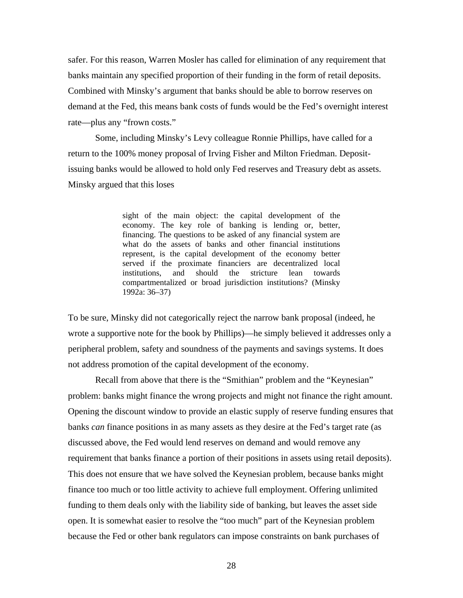safer. For this reason, Warren Mosler has called for elimination of any requirement that banks maintain any specified proportion of their funding in the form of retail deposits. Combined with Minsky's argument that banks should be able to borrow reserves on demand at the Fed, this means bank costs of funds would be the Fed's overnight interest rate—plus any "frown costs."

Some, including Minsky's Levy colleague Ronnie Phillips, have called for a return to the 100% money proposal of Irving Fisher and Milton Friedman. Depositissuing banks would be allowed to hold only Fed reserves and Treasury debt as assets. Minsky argued that this loses

> sight of the main object: the capital development of the economy. The key role of banking is lending or, better, financing. The questions to be asked of any financial system are what do the assets of banks and other financial institutions represent, is the capital development of the economy better served if the proximate financiers are decentralized local institutions, and should the stricture lean towards compartmentalized or broad jurisdiction institutions? (Minsky 1992a: 36–37)

To be sure, Minsky did not categorically reject the narrow bank proposal (indeed, he wrote a supportive note for the book by Phillips)—he simply believed it addresses only a peripheral problem, safety and soundness of the payments and savings systems. It does not address promotion of the capital development of the economy.

Recall from above that there is the "Smithian" problem and the "Keynesian" problem: banks might finance the wrong projects and might not finance the right amount. Opening the discount window to provide an elastic supply of reserve funding ensures that banks *can* finance positions in as many assets as they desire at the Fed's target rate (as discussed above, the Fed would lend reserves on demand and would remove any requirement that banks finance a portion of their positions in assets using retail deposits). This does not ensure that we have solved the Keynesian problem, because banks might finance too much or too little activity to achieve full employment. Offering unlimited funding to them deals only with the liability side of banking, but leaves the asset side open. It is somewhat easier to resolve the "too much" part of the Keynesian problem because the Fed or other bank regulators can impose constraints on bank purchases of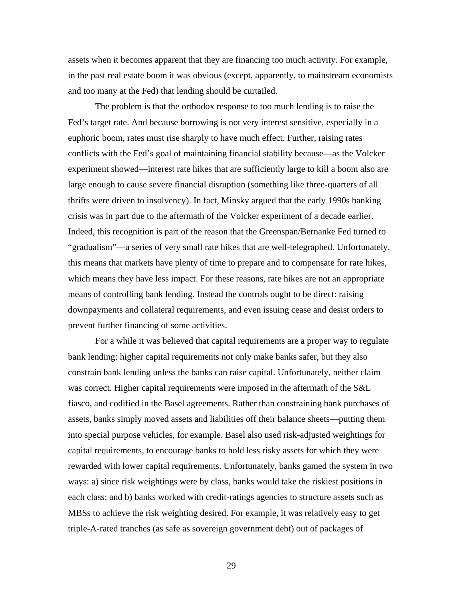assets when it becomes apparent that they are financing too much activity. For example, in the past real estate boom it was obvious (except, apparently, to mainstream economists and too many at the Fed) that lending should be curtailed.

The problem is that the orthodox response to too much lending is to raise the Fed's target rate. And because borrowing is not very interest sensitive, especially in a euphoric boom, rates must rise sharply to have much effect. Further, raising rates conflicts with the Fed's goal of maintaining financial stability because—as the Volcker experiment showed—interest rate hikes that are sufficiently large to kill a boom also are large enough to cause severe financial disruption (something like three-quarters of all thrifts were driven to insolvency). In fact, Minsky argued that the early 1990s banking crisis was in part due to the aftermath of the Volcker experiment of a decade earlier. Indeed, this recognition is part of the reason that the Greenspan/Bernanke Fed turned to "gradualism"—a series of very small rate hikes that are well-telegraphed. Unfortunately, this means that markets have plenty of time to prepare and to compensate for rate hikes, which means they have less impact. For these reasons, rate hikes are not an appropriate means of controlling bank lending. Instead the controls ought to be direct: raising downpayments and collateral requirements, and even issuing cease and desist orders to prevent further financing of some activities.

For a while it was believed that capital requirements are a proper way to regulate bank lending: higher capital requirements not only make banks safer, but they also constrain bank lending unless the banks can raise capital. Unfortunately, neither claim was correct. Higher capital requirements were imposed in the aftermath of the S&L fiasco, and codified in the Basel agreements. Rather than constraining bank purchases of assets, banks simply moved assets and liabilities off their balance sheets—putting them into special purpose vehicles, for example. Basel also used risk-adjusted weightings for capital requirements, to encourage banks to hold less risky assets for which they were rewarded with lower capital requirements. Unfortunately, banks gamed the system in two ways: a) since risk weightings were by class, banks would take the riskiest positions in each class; and b) banks worked with credit-ratings agencies to structure assets such as MBSs to achieve the risk weighting desired. For example, it was relatively easy to get triple-A-rated tranches (as safe as sovereign government debt) out of packages of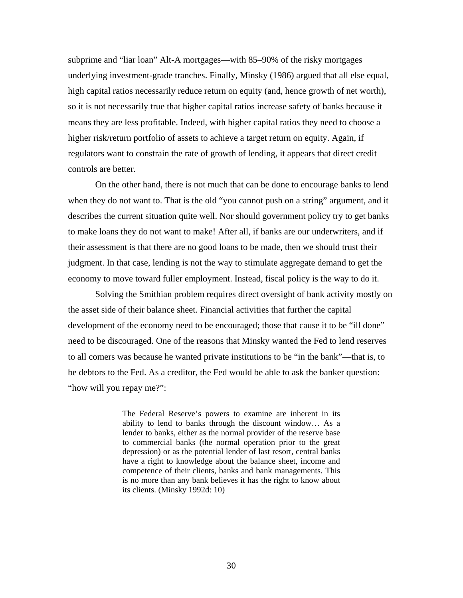subprime and "liar loan" Alt-A mortgages—with 85–90% of the risky mortgages underlying investment-grade tranches. Finally, Minsky (1986) argued that all else equal, high capital ratios necessarily reduce return on equity (and, hence growth of net worth), so it is not necessarily true that higher capital ratios increase safety of banks because it means they are less profitable. Indeed, with higher capital ratios they need to choose a higher risk/return portfolio of assets to achieve a target return on equity. Again, if regulators want to constrain the rate of growth of lending, it appears that direct credit controls are better.

On the other hand, there is not much that can be done to encourage banks to lend when they do not want to. That is the old "you cannot push on a string" argument, and it describes the current situation quite well. Nor should government policy try to get banks to make loans they do not want to make! After all, if banks are our underwriters, and if their assessment is that there are no good loans to be made, then we should trust their judgment. In that case, lending is not the way to stimulate aggregate demand to get the economy to move toward fuller employment. Instead, fiscal policy is the way to do it.

Solving the Smithian problem requires direct oversight of bank activity mostly on the asset side of their balance sheet. Financial activities that further the capital development of the economy need to be encouraged; those that cause it to be "ill done" need to be discouraged. One of the reasons that Minsky wanted the Fed to lend reserves to all comers was because he wanted private institutions to be "in the bank"—that is, to be debtors to the Fed. As a creditor, the Fed would be able to ask the banker question: "how will you repay me?":

> The Federal Reserve's powers to examine are inherent in its ability to lend to banks through the discount window… As a lender to banks, either as the normal provider of the reserve base to commercial banks (the normal operation prior to the great depression) or as the potential lender of last resort, central banks have a right to knowledge about the balance sheet, income and competence of their clients, banks and bank managements. This is no more than any bank believes it has the right to know about its clients. (Minsky 1992d: 10)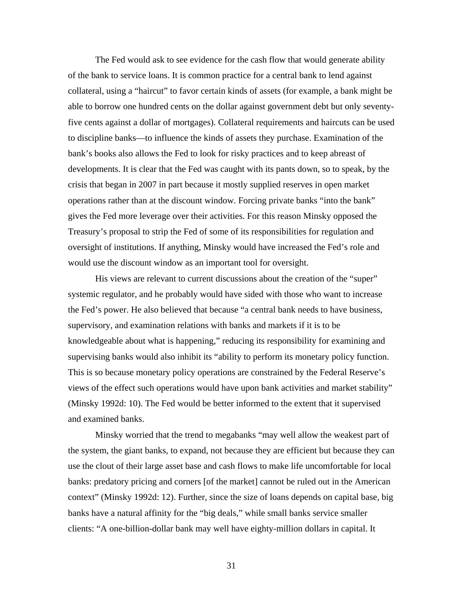The Fed would ask to see evidence for the cash flow that would generate ability of the bank to service loans. It is common practice for a central bank to lend against collateral, using a "haircut" to favor certain kinds of assets (for example, a bank might be able to borrow one hundred cents on the dollar against government debt but only seventyfive cents against a dollar of mortgages). Collateral requirements and haircuts can be used to discipline banks—to influence the kinds of assets they purchase. Examination of the bank's books also allows the Fed to look for risky practices and to keep abreast of developments. It is clear that the Fed was caught with its pants down, so to speak, by the crisis that began in 2007 in part because it mostly supplied reserves in open market operations rather than at the discount window. Forcing private banks "into the bank" gives the Fed more leverage over their activities. For this reason Minsky opposed the Treasury's proposal to strip the Fed of some of its responsibilities for regulation and oversight of institutions. If anything, Minsky would have increased the Fed's role and would use the discount window as an important tool for oversight.

His views are relevant to current discussions about the creation of the "super" systemic regulator, and he probably would have sided with those who want to increase the Fed's power. He also believed that because "a central bank needs to have business, supervisory, and examination relations with banks and markets if it is to be knowledgeable about what is happening," reducing its responsibility for examining and supervising banks would also inhibit its "ability to perform its monetary policy function. This is so because monetary policy operations are constrained by the Federal Reserve's views of the effect such operations would have upon bank activities and market stability" (Minsky 1992d: 10). The Fed would be better informed to the extent that it supervised and examined banks.

Minsky worried that the trend to megabanks "may well allow the weakest part of the system, the giant banks, to expand, not because they are efficient but because they can use the clout of their large asset base and cash flows to make life uncomfortable for local banks: predatory pricing and corners [of the market] cannot be ruled out in the American context" (Minsky 1992d: 12). Further, since the size of loans depends on capital base, big banks have a natural affinity for the "big deals," while small banks service smaller clients: "A one-billion-dollar bank may well have eighty-million dollars in capital. It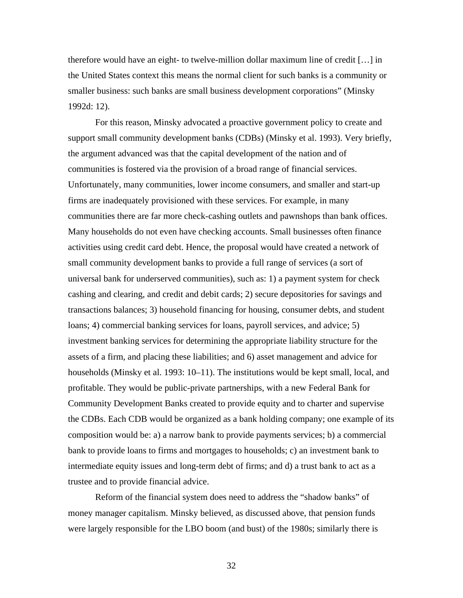therefore would have an eight- to twelve-million dollar maximum line of credit […] in the United States context this means the normal client for such banks is a community or smaller business: such banks are small business development corporations" (Minsky 1992d: 12).

For this reason, Minsky advocated a proactive government policy to create and support small community development banks (CDBs) (Minsky et al. 1993). Very briefly, the argument advanced was that the capital development of the nation and of communities is fostered via the provision of a broad range of financial services. Unfortunately, many communities, lower income consumers, and smaller and start-up firms are inadequately provisioned with these services. For example, in many communities there are far more check-cashing outlets and pawnshops than bank offices. Many households do not even have checking accounts. Small businesses often finance activities using credit card debt. Hence, the proposal would have created a network of small community development banks to provide a full range of services (a sort of universal bank for underserved communities), such as: 1) a payment system for check cashing and clearing, and credit and debit cards; 2) secure depositories for savings and transactions balances; 3) household financing for housing, consumer debts, and student loans; 4) commercial banking services for loans, payroll services, and advice; 5) investment banking services for determining the appropriate liability structure for the assets of a firm, and placing these liabilities; and 6) asset management and advice for households (Minsky et al. 1993: 10–11). The institutions would be kept small, local, and profitable. They would be public-private partnerships, with a new Federal Bank for Community Development Banks created to provide equity and to charter and supervise the CDBs. Each CDB would be organized as a bank holding company; one example of its composition would be: a) a narrow bank to provide payments services; b) a commercial bank to provide loans to firms and mortgages to households; c) an investment bank to intermediate equity issues and long-term debt of firms; and d) a trust bank to act as a trustee and to provide financial advice.

Reform of the financial system does need to address the "shadow banks" of money manager capitalism. Minsky believed, as discussed above, that pension funds were largely responsible for the LBO boom (and bust) of the 1980s; similarly there is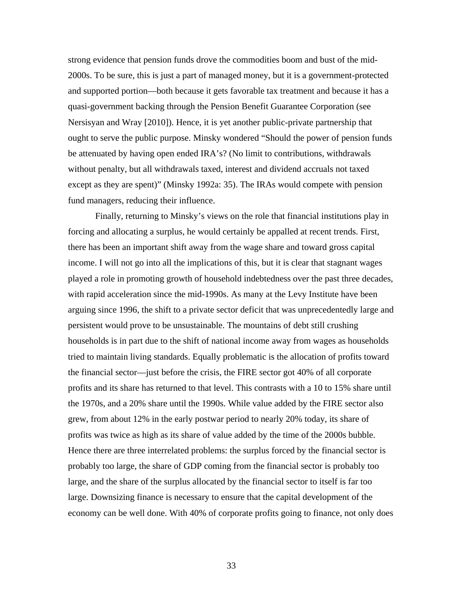strong evidence that pension funds drove the commodities boom and bust of the mid-2000s. To be sure, this is just a part of managed money, but it is a government-protected and supported portion—both because it gets favorable tax treatment and because it has a quasi-government backing through the Pension Benefit Guarantee Corporation (see Nersisyan and Wray [2010]). Hence, it is yet another public-private partnership that ought to serve the public purpose. Minsky wondered "Should the power of pension funds be attenuated by having open ended IRA's? (No limit to contributions, withdrawals without penalty, but all withdrawals taxed, interest and dividend accruals not taxed except as they are spent)" (Minsky 1992a: 35). The IRAs would compete with pension fund managers, reducing their influence.

Finally, returning to Minsky's views on the role that financial institutions play in forcing and allocating a surplus, he would certainly be appalled at recent trends. First, there has been an important shift away from the wage share and toward gross capital income. I will not go into all the implications of this, but it is clear that stagnant wages played a role in promoting growth of household indebtedness over the past three decades, with rapid acceleration since the mid-1990s. As many at the Levy Institute have been arguing since 1996, the shift to a private sector deficit that was unprecedentedly large and persistent would prove to be unsustainable. The mountains of debt still crushing households is in part due to the shift of national income away from wages as households tried to maintain living standards. Equally problematic is the allocation of profits toward the financial sector—just before the crisis, the FIRE sector got 40% of all corporate profits and its share has returned to that level. This contrasts with a 10 to 15% share until the 1970s, and a 20% share until the 1990s. While value added by the FIRE sector also grew, from about 12% in the early postwar period to nearly 20% today, its share of profits was twice as high as its share of value added by the time of the 2000s bubble. Hence there are three interrelated problems: the surplus forced by the financial sector is probably too large, the share of GDP coming from the financial sector is probably too large, and the share of the surplus allocated by the financial sector to itself is far too large. Downsizing finance is necessary to ensure that the capital development of the economy can be well done. With 40% of corporate profits going to finance, not only does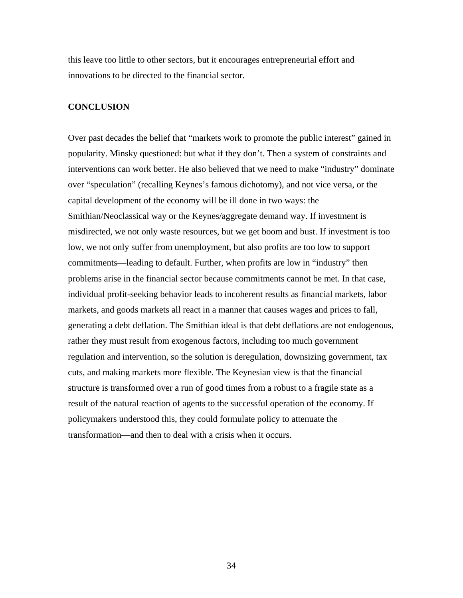this leave too little to other sectors, but it encourages entrepreneurial effort and innovations to be directed to the financial sector.

# **CONCLUSION**

Over past decades the belief that "markets work to promote the public interest" gained in popularity. Minsky questioned: but what if they don't. Then a system of constraints and interventions can work better. He also believed that we need to make "industry" dominate over "speculation" (recalling Keynes's famous dichotomy), and not vice versa, or the capital development of the economy will be ill done in two ways: the Smithian/Neoclassical way or the Keynes/aggregate demand way. If investment is misdirected, we not only waste resources, but we get boom and bust. If investment is too low, we not only suffer from unemployment, but also profits are too low to support commitments—leading to default. Further, when profits are low in "industry" then problems arise in the financial sector because commitments cannot be met. In that case, individual profit-seeking behavior leads to incoherent results as financial markets, labor markets, and goods markets all react in a manner that causes wages and prices to fall, generating a debt deflation. The Smithian ideal is that debt deflations are not endogenous, rather they must result from exogenous factors, including too much government regulation and intervention, so the solution is deregulation, downsizing government, tax cuts, and making markets more flexible. The Keynesian view is that the financial structure is transformed over a run of good times from a robust to a fragile state as a result of the natural reaction of agents to the successful operation of the economy. If policymakers understood this, they could formulate policy to attenuate the transformation—and then to deal with a crisis when it occurs.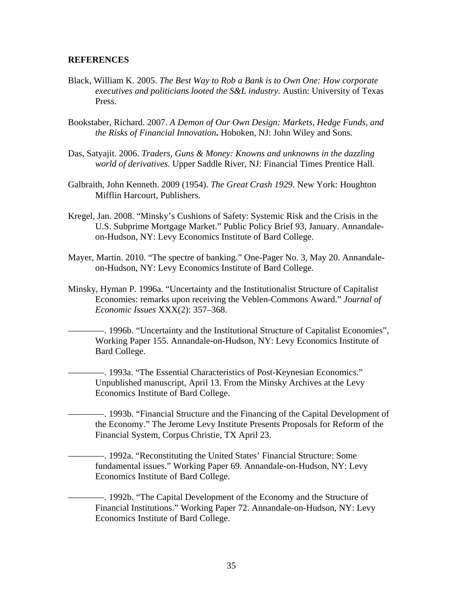# **REFERENCES**

- Black, William K. 2005. *The Best Way to Rob a Bank is to Own One: How corporate executives and politicians looted the S&L industry.* Austin: University of Texas Press.
- Bookstaber, Richard. 2007. *A Demon of Our Own Design: Markets, Hedge Funds, and the Risks of Financial Innovation***.** Hoboken, NJ: John Wiley and Sons.
- Das, Satyajit. 2006. *Traders, Guns & Money: Knowns and unknowns in the dazzling world of derivatives.* Upper Saddle River, NJ: Financial Times Prentice Hall.
- Galbraith, John Kenneth. 2009 (1954). *The Great Crash 1929.* New York: Houghton Mifflin Harcourt, Publishers.
- Kregel, Jan. 2008. "Minsky's Cushions of Safety: Systemic Risk and the Crisis in the U.S. Subprime Mortgage Market." Public Policy Brief 93, January. Annandaleon-Hudson, NY: Levy Economics Institute of Bard College.
- Mayer, Martin. 2010. "The spectre of banking." One-Pager No. 3, May 20. Annandaleon-Hudson, NY: Levy Economics Institute of Bard College.
- Minsky, Hyman P. 1996a. "Uncertainty and the Institutionalist Structure of Capitalist Economies: remarks upon receiving the Veblen-Commons Award." *Journal of Economic Issues* XXX(2): 357–368.

————. 1996b. "Uncertainty and the Institutional Structure of Capitalist Economies", Working Paper 155. Annandale-on-Hudson, NY: Levy Economics Institute of Bard College.

————. 1993a. "The Essential Characteristics of Post-Keynesian Economics." Unpublished manuscript, April 13. From the Minsky Archives at the Levy Economics Institute of Bard College.

————. 1993b. "Financial Structure and the Financing of the Capital Development of the Economy." The Jerome Levy Institute Presents Proposals for Reform of the Financial System, Corpus Christie, TX April 23.

————. 1992a. "Reconstituting the United States' Financial Structure: Some fundamental issues." Working Paper 69. Annandale-on-Hudson, NY: Levy Economics Institute of Bard College.

————. 1992b. "The Capital Development of the Economy and the Structure of Financial Institutions." Working Paper 72. Annandale-on-Hudson, NY: Levy Economics Institute of Bard College.